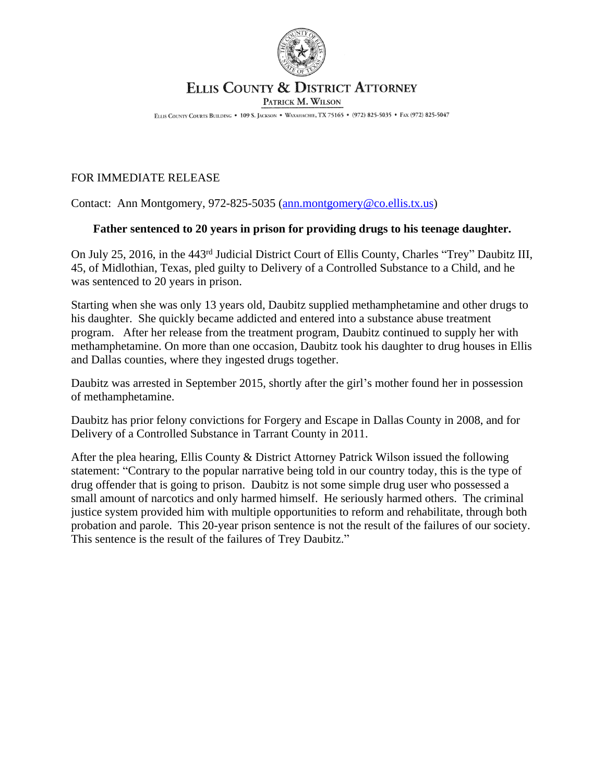

## ELLIS COUNTY & DISTRICT ATTORNEY

PATRICK M. WILSON

ELLIS COUNTY COURTS BUILDING . 109 S. JACKSON . WAXAHACHIE, TX 75165 . (972) 825-5035 . FAX (972) 825-5047

## FOR IMMEDIATE RELEASE

Contact: Ann Montgomery, 972-825-5035 ([ann.montgomery@co.ellis.tx.us](mailto:ann.montgomery@co.ellis.tx.us))

## **Father sentenced to 20 years in prison for providing drugs to his teenage daughter.**

On July 25, 2016, in the 443rd Judicial District Court of Ellis County, Charles "Trey" Daubitz III, 45, of Midlothian, Texas, pled guilty to Delivery of a Controlled Substance to a Child, and he was sentenced to 20 years in prison.

Starting when she was only 13 years old, Daubitz supplied methamphetamine and other drugs to his daughter. She quickly became addicted and entered into a substance abuse treatment program. After her release from the treatment program, Daubitz continued to supply her with methamphetamine. On more than one occasion, Daubitz took his daughter to drug houses in Ellis and Dallas counties, where they ingested drugs together.

Daubitz was arrested in September 2015, shortly after the girl's mother found her in possession of methamphetamine.

Daubitz has prior felony convictions for Forgery and Escape in Dallas County in 2008, and for Delivery of a Controlled Substance in Tarrant County in 2011.

After the plea hearing, Ellis County & District Attorney Patrick Wilson issued the following statement: "Contrary to the popular narrative being told in our country today, this is the type of drug offender that is going to prison. Daubitz is not some simple drug user who possessed a small amount of narcotics and only harmed himself. He seriously harmed others. The criminal justice system provided him with multiple opportunities to reform and rehabilitate, through both probation and parole. This 20-year prison sentence is not the result of the failures of our society. This sentence is the result of the failures of Trey Daubitz."